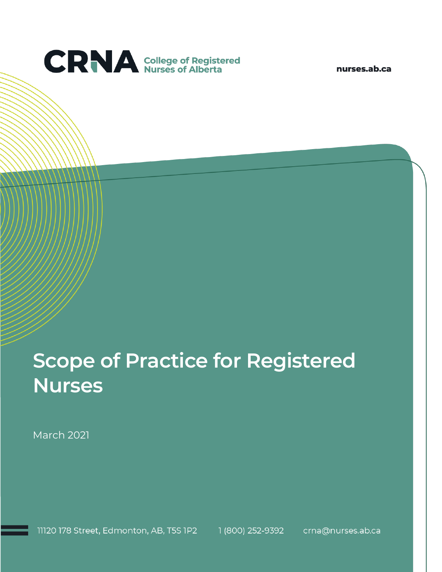

nurses.ab.ca

# **Scope of Practice for Registered Nurses**

March 2021

11120 178 Street, Edmonton, AB, T5S 1P2 1 (800) 252-9392 crna@nurses.ab.ca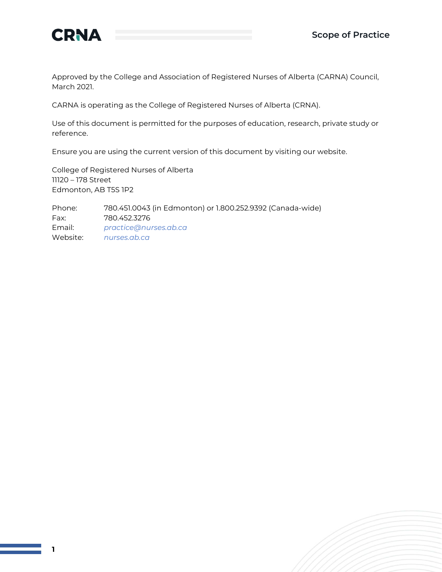

Approved by the College and Association of Registered Nurses of Alberta (CARNA) Council, March 2021.

CARNA is operating as the College of Registered Nurses of Alberta (CRNA).

Use of this document is permitted for the purposes of education, research, private study or reference.

Ensure you are using the current version of this document by visiting our website.

College of Registered Nurses of Alberta 11120 – 178 Street Edmonton, AB T5S 1P2

Phone: 780.451.0043 (in Edmonton) or 1.800.252.9392 (Canada-wide) Fax: 780.452.3276 Email: *[practice@nurses.ab.ca](mailto:practice@nurses.ab.ca)* Website: *[nurses.ab.ca](http://www.nurses.ab.ca/)*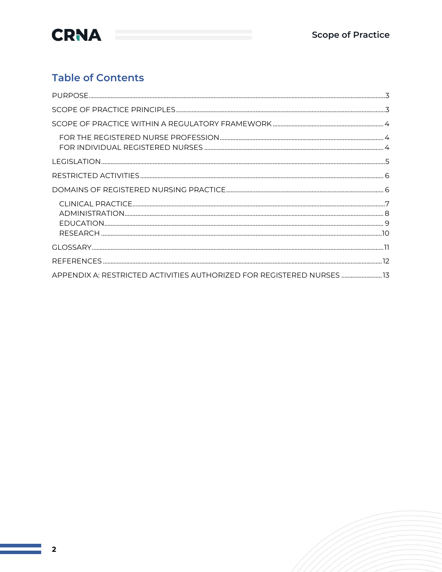

#### **Table of Contents**

| APPENDIX A: RESTRICTED ACTIVITIES AUTHORIZED FOR REGISTERED NURSES |  |
|--------------------------------------------------------------------|--|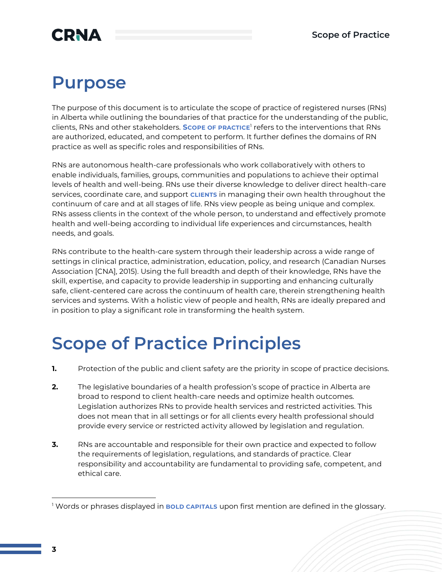### **CRNA**

### **Purpose**

The purpose of this document is to articulate the scope of practice of registered nurses (RNs) in Alberta while outlining the boundaries of that practice for the understanding of the public, clients, RNs and other stakeholders. **Scope of practice<sup>1</sup> refers** to the interventions that RNs are authorized, educated, and competent to perform. It further defines the domains of RN practice as well as specific roles and responsibilities of RNs.

RNs are autonomous health-care professionals who work collaboratively with others to enable individuals, families, groups, communities and populations to achieve their optimal levels of health and well-being. RNs use their diverse knowledge to deliver direct health-care services, coordinate care, and support **CLIENTS** in managing their own health throughout the continuum of care and at all stages of life. RNs view people as being unique and complex. RNs assess clients in the context of the whole person, to understand and effectively promote health and well-being according to individual life experiences and circumstances, health needs, and goals.

RNs contribute to the health-care system through their leadership across a wide range of settings in clinical practice, administration, education, policy, and research (Canadian Nurses Association [CNA], 2015). Using the full breadth and depth of their knowledge, RNs have the skill, expertise, and capacity to provide leadership in supporting and enhancing culturally safe, client-centered care across the continuum of health care, therein strengthening health services and systems. With a holistic view of people and health, RNs are ideally prepared and in position to play a significant role in transforming the health system.

## **Scope of Practice Principles**

- **1.** Protection of the public and client safety are the priority in scope of practice decisions.
- **2.** The legislative boundaries of a health profession's scope of practice in Alberta are broad to respond to client health-care needs and optimize health outcomes. Legislation authorizes RNs to provide health services and restricted activities. This does not mean that in all settings or for all clients every health professional should provide every service or restricted activity allowed by legislation and regulation.
- **3.** RNs are accountable and responsible for their own practice and expected to follow the requirements of legislation, regulations, and standards of practice. Clear responsibility and accountability are fundamental to providing safe, competent, and ethical care.

<sup>&</sup>lt;sup>1</sup> Words or phrases displayed in **BOLD CAPITALS** upon first mention are defined in the glossary.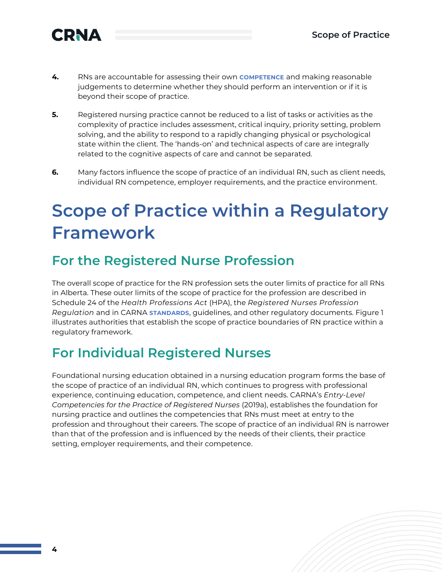

- **4.** RNs are accountable for assessing their own **COMPETENCE** and making reasonable judgements to determine whether they should perform an intervention or if it is beyond their scope of practice.
- **5.** Registered nursing practice cannot be reduced to a list of tasks or activities as the complexity of practice includes assessment, critical inquiry, priority setting, problem solving, and the ability to respond to a rapidly changing physical or psychological state within the client. The 'hands-on' and technical aspects of care are integrally related to the cognitive aspects of care and cannot be separated.
- **6.** Many factors influence the scope of practice of an individual RN, such as client needs, individual RN competence, employer requirements, and the practice environment.

## **Scope of Practice within a Regulatory Framework**

### **For the Registered Nurse Profession**

The overall scope of practice for the RN profession sets the outer limits of practice for all RNs in Alberta. These outer limits of the scope of practice for the profession are described in Schedule 24 of the *Health Professions Act* (HPA), the *Registered Nurses Profession Regulation* and in CARNA **STANDARDS**, guidelines, and other regulatory documents. Figure 1 illustrates authorities that establish the scope of practice boundaries of RN practice within a regulatory framework.

### **For Individual Registered Nurses**

Foundational nursing education obtained in a nursing education program forms the base of the scope of practice of an individual RN, which continues to progress with professional experience, continuing education, competence, and client needs. CARNA's *Entry-Level Competencies for the Practice of Registered Nurses* (2019a), establishes the foundation for nursing practice and outlines the competencies that RNs must meet at entry to the profession and throughout their careers. The scope of practice of an individual RN is narrower than that of the profession and is influenced by the needs of their clients, their practice setting, employer requirements, and their competence.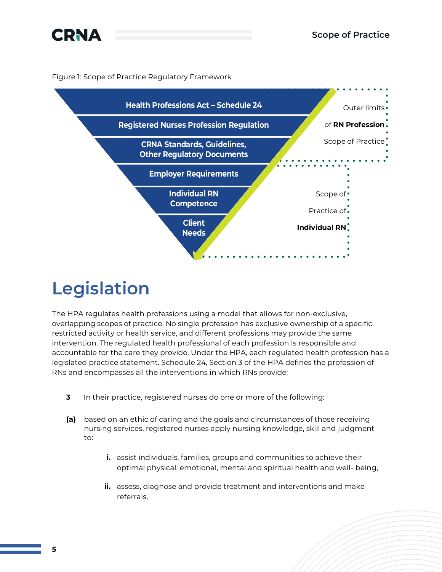

Figure 1: Scope of Practice Regulatory Framework



## **Legislation**

The HPA regulates health professions using a model that allows for non-exclusive, overlapping scopes of practice. No single profession has exclusive ownership of a specific restricted activity or health service, and different professions may provide the same intervention. The regulated health professional of each profession is responsible and accountable for the care they provide. Under the HPA, each regulated health profession has a legislated practice statement. Schedule 24, Section 3 of the HPA defines the profession of RNs and encompasses all the interventions in which RNs provide:

- **3** In their practice, registered nurses do one or more of the following:
- **(a)** based on an ethic of caring and the goals and circumstances of those receiving nursing services, registered nurses apply nursing knowledge, skill and judgment to:
	- **i.** assist individuals, families, groups and communities to achieve their optimal physical, emotional, mental and spiritual health and well- being,
	- **ii.** assess, diagnose and provide treatment and interventions and make referrals,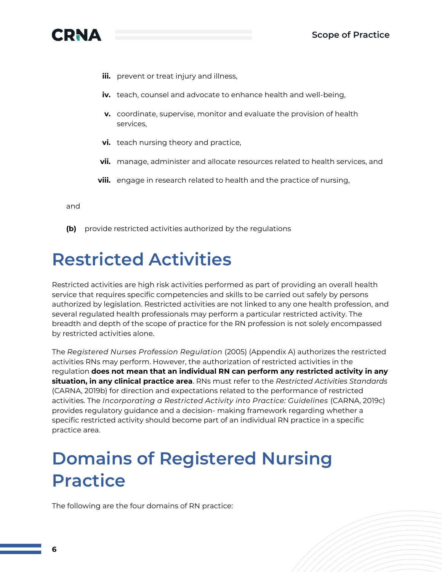

- **iii.** prevent or treat injury and illness,
- **iv.** teach, counsel and advocate to enhance health and well-being,
- **v.** coordinate, supervise, monitor and evaluate the provision of health services,
- **vi.** teach nursing theory and practice,
- **vii.** manage, administer and allocate resources related to health services, and
- **viii.** engage in research related to health and the practice of nursing,

and

**(b)** provide restricted activities authorized by the regulations

### **Restricted Activities**

Restricted activities are high risk activities performed as part of providing an overall health service that requires specific competencies and skills to be carried out safely by persons authorized by legislation. Restricted activities are not linked to any one health profession, and several regulated health professionals may perform a particular restricted activity. The breadth and depth of the scope of practice for the RN profession is not solely encompassed by restricted activities alone.

The *Registered Nurses Profession Regulation* (2005) (Appendix A) authorizes the restricted activities RNs may perform. However, the authorization of restricted activities in the regulation **does not mean that an individual RN can perform any restricted activity in any situation, in any clinical practice area**. RNs must refer to the *Restricted Activities Standards* (CARNA, 2019b) for direction and expectations related to the performance of restricted activities. The *Incorporating a Restricted Activity into Practice: Guidelines* (CARNA, 2019c) provides regulatory guidance and a decision- making framework regarding whether a specific restricted activity should become part of an individual RN practice in a specific practice area.

## **Domains of Registered Nursing Practice**

The following are the four domains of RN practice: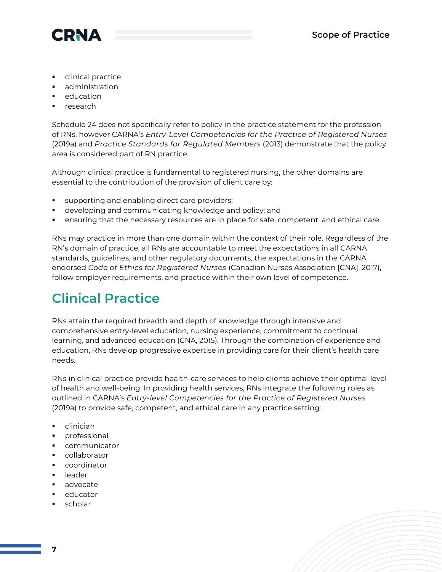

- clinical practice
- administration
- education
- research

Schedule 24 does not specifically refer to policy in the practice statement for the profession of RNs, however CARNA's *Entry-Level Competencies for the Practice of Registered Nurses* (2019a) and *Practice Standards for Regulated Members* (2013) demonstrate that the policy area is considered part of RN practice.

Although clinical practice is fundamental to registered nursing, the other domains are essential to the contribution of the provision of client care by:

- supporting and enabling direct care providers;
- developing and communicating knowledge and policy; and
- ensuring that the necessary resources are in place for safe, competent, and ethical care.

RNs may practice in more than one domain within the context of their role. Regardless of the RN's domain of practice, all RNs are accountable to meet the expectations in all CARNA standards, guidelines, and other regulatory documents, the expectations in the CARNA endorsed *Code of Ethics for Registered Nurses* (Canadian Nurses Association [CNA], 2017), follow employer requirements, and practice within their own level of competence.

### **Clinical Practice**

RNs attain the required breadth and depth of knowledge through intensive and comprehensive entry-level education, nursing experience, commitment to continual learning, and advanced education (CNA, 2015). Through the combination of experience and education, RNs develop progressive expertise in providing care for their client's health care needs.

RNs in clinical practice provide health-care services to help clients achieve their optimal level of health and well-being. In providing health services, RNs integrate the following roles as outlined in CARNA's *Entry-level Competencies for the Practice of Registered Nurses*  (2019a) to provide safe, competent, and ethical care in any practice setting:

- clinician
- professional
- communicator
- collaborator
- coordinator
- **Leader**
- advocate
- educator
- scholar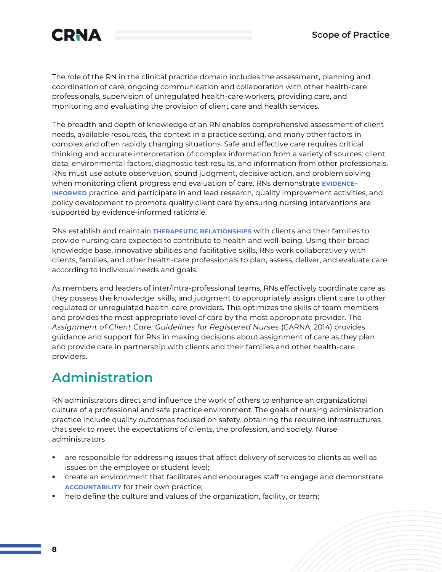

The role of the RN in the clinical practice domain includes the assessment, planning and coordination of care, ongoing communication and collaboration with other health-care professionals, supervision of unregulated health-care workers, providing care, and monitoring and evaluating the provision of client care and health services.

The breadth and depth of knowledge of an RN enables comprehensive assessment of client needs, available resources, the context in a practice setting, and many other factors in complex and often rapidly changing situations. Safe and effective care requires critical thinking and accurate interpretation of complex information from a variety of sources: client data, environmental factors, diagnostic test results, and information from other professionals. RNs must use astute observation, sound judgment, decisive action, and problem solving when monitoring client progress and evaluation of care. RNs demonstrate **EVIDENCE-INFORMED** practice, and participate in and lead research, quality improvement activities, and policy development to promote quality client care by ensuring nursing interventions are supported by evidence-informed rationale.

RNs establish and maintain **THERAPEUTIC RELATIONSHIPS** with clients and their families to provide nursing care expected to contribute to health and well-being. Using their broad knowledge base, innovative abilities and facilitative skills, RNs work collaboratively with clients, families, and other health-care professionals to plan, assess, deliver, and evaluate care according to individual needs and goals.

As members and leaders of inter/intra-professional teams, RNs effectively coordinate care as they possess the knowledge, skills, and judgment to appropriately assign client care to other regulated or unregulated health-care providers. This optimizes the skills of team members and provides the most appropriate level of care by the most appropriate provider. The *Assignment of Client Care: Guidelines for Registered Nurses* (CARNA, 2014) provides guidance and support for RNs in making decisions about assignment of care as they plan and provide care in partnership with clients and their families and other health-care providers.

### **Administration**

RN administrators direct and influence the work of others to enhance an organizational culture of a professional and safe practice environment. The goals of nursing administration practice include quality outcomes focused on safety, obtaining the required infrastructures that seek to meet the expectations of clients, the profession, and society. Nurse administrators

- are responsible for addressing issues that affect delivery of services to clients as well as issues on the employee or student level;
- create an environment that facilitates and encourages staff to engage and demonstrate **ACCOUNTABILITY** for their own practice;
- help define the culture and values of the organization, facility, or team;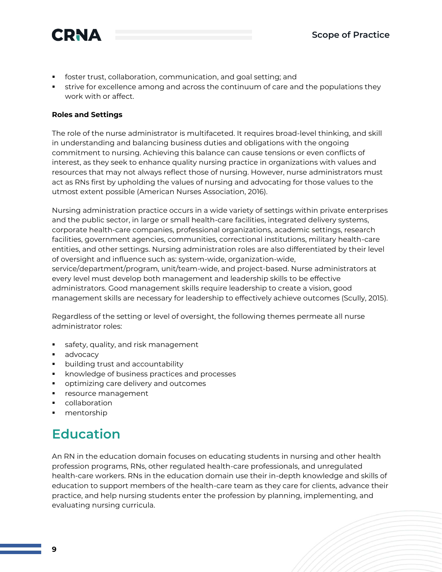

- foster trust, collaboration, communication, and goal setting; and
- strive for excellence among and across the continuum of care and the populations they work with or affect.

#### **Roles and Settings**

The role of the nurse administrator is multifaceted. It requires broad-level thinking, and skill in understanding and balancing business duties and obligations with the ongoing commitment to nursing. Achieving this balance can cause tensions or even conflicts of interest, as they seek to enhance quality nursing practice in organizations with values and resources that may not always reflect those of nursing. However, nurse administrators must act as RNs first by upholding the values of nursing and advocating for those values to the utmost extent possible (American Nurses Association, 2016).

Nursing administration practice occurs in a wide variety of settings within private enterprises and the public sector, in large or small health-care facilities, integrated delivery systems, corporate health-care companies, professional organizations, academic settings, research facilities, government agencies, communities, correctional institutions, military health-care entities, and other settings. Nursing administration roles are also differentiated by their level of oversight and influence such as: system-wide, organization-wide, service/department/program, unit/team-wide, and project-based. Nurse administrators at every level must develop both management and leadership skills to be effective administrators. Good management skills require leadership to create a vision, good management skills are necessary for leadership to effectively achieve outcomes (Scully, 2015).

Regardless of the setting or level of oversight, the following themes permeate all nurse administrator roles:

- safety, quality, and risk management
- advocacy
- building trust and accountability
- knowledge of business practices and processes
- optimizing care delivery and outcomes
- **·** resource management
- collaboration
- mentorship

### **Education**

An RN in the education domain focuses on educating students in nursing and other health profession programs, RNs, other regulated health-care professionals, and unregulated health-care workers. RNs in the education domain use their in-depth knowledge and skills of education to support members of the health-care team as they care for clients, advance their practice, and help nursing students enter the profession by planning, implementing, and evaluating nursing curricula.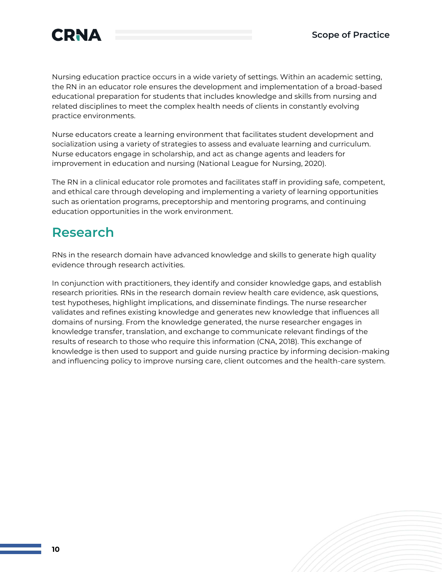

Nursing education practice occurs in a wide variety of settings. Within an academic setting, the RN in an educator role ensures the development and implementation of a broad-based educational preparation for students that includes knowledge and skills from nursing and related disciplines to meet the complex health needs of clients in constantly evolving practice environments.

Nurse educators create a learning environment that facilitates student development and socialization using a variety of strategies to assess and evaluate learning and curriculum. Nurse educators engage in scholarship, and act as change agents and leaders for improvement in education and nursing (National League for Nursing, 2020).

The RN in a clinical educator role promotes and facilitates staff in providing safe, competent, and ethical care through developing and implementing a variety of learning opportunities such as orientation programs, preceptorship and mentoring programs, and continuing education opportunities in the work environment.

### **Research**

RNs in the research domain have advanced knowledge and skills to generate high quality evidence through research activities.

In conjunction with practitioners, they identify and consider knowledge gaps, and establish research priorities. RNs in the research domain review health care evidence, ask questions, test hypotheses, highlight implications, and disseminate findings. The nurse researcher validates and refines existing knowledge and generates new knowledge that influences all domains of nursing. From the knowledge generated, the nurse researcher engages in knowledge transfer, translation, and exchange to communicate relevant findings of the results of research to those who require this information (CNA, 2018). This exchange of knowledge is then used to support and guide nursing practice by informing decision-making and influencing policy to improve nursing care, client outcomes and the health-care system.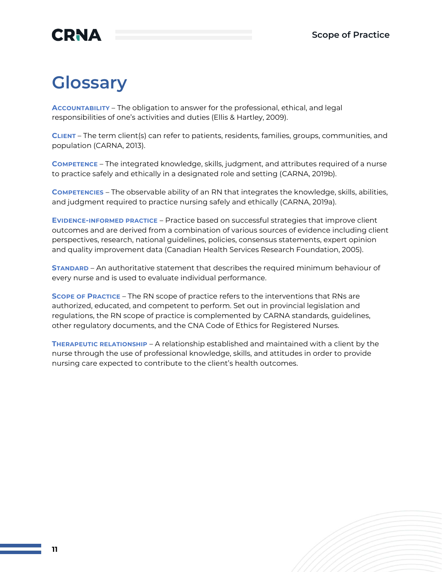### **CRNA**

## **Glossary**

**ACCOUNTABILITY** – The obligation to answer for the professional, ethical, and legal responsibilities of one's activities and duties (Ellis & Hartley, 2009).

**CLIENT** – The term client(s) can refer to patients, residents, families, groups, communities, and population (CARNA, 2013).

**COMPETENCE** – The integrated knowledge, skills, judgment, and attributes required of a nurse to practice safely and ethically in a designated role and setting (CARNA, 2019b).

**COMPETENCIES** – The observable ability of an RN that integrates the knowledge, skills, abilities, and judgment required to practice nursing safely and ethically (CARNA, 2019a).

**EVIDENCE-INFORMED PRACTICE** – Practice based on successful strategies that improve client outcomes and are derived from a combination of various sources of evidence including client perspectives, research, national guidelines, policies, consensus statements, expert opinion and quality improvement data (Canadian Health Services Research Foundation, 2005).

**STANDARD** – An authoritative statement that describes the required minimum behaviour of every nurse and is used to evaluate individual performance.

**SCOPE OF PRACTICE** – The RN scope of practice refers to the interventions that RNs are authorized, educated, and competent to perform. Set out in provincial legislation and regulations, the RN scope of practice is complemented by CARNA standards, guidelines, other regulatory documents, and the CNA Code of Ethics for Registered Nurses.

**THERAPEUTIC RELATIONSHIP** – A relationship established and maintained with a client by the nurse through the use of professional knowledge, skills, and attitudes in order to provide nursing care expected to contribute to the client's health outcomes.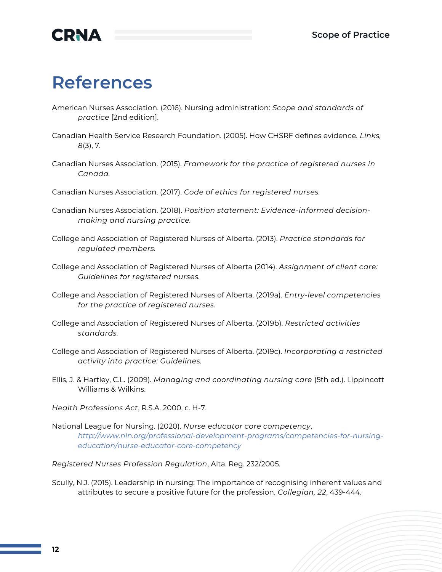

### **References**

- American Nurses Association. (2016). Nursing administration: *Scope and standards of practice* [2nd edition].
- Canadian Health Service Research Foundation. (2005). How CHSRF defines evidence. *Links, 8*(3), 7.
- Canadian Nurses Association. (2015). *Framework for the practice of registered nurses in Canada.*
- Canadian Nurses Association. (2017). *Code of ethics for registered nurses.*
- Canadian Nurses Association. (2018). *Position statement: Evidence-informed decisionmaking and nursing practice.*
- College and Association of Registered Nurses of Alberta. (2013). *Practice standards for regulated members.*
- College and Association of Registered Nurses of Alberta (2014). *Assignment of client care: Guidelines for registered nurses.*
- College and Association of Registered Nurses of Alberta. (2019a). *Entry-level competencies for the practice of registered nurses.*
- College and Association of Registered Nurses of Alberta. (2019b). *Restricted activities standards.*
- College and Association of Registered Nurses of Alberta. (2019c). *Incorporating a restricted activity into practice: Guidelines.*
- Ellis, J. & Hartley, C.L. (2009). *Managing and coordinating nursing care* (5th ed.). Lippincott Williams & Wilkins.
- *Health Professions Act*, R.S.A. 2000, c. H-7.
- National League for Nursing. (2020). *Nurse educator core competency*. *[http://www.nln.org/professional-development-programs/competencies-for-nursing](http://www.nln.org/professional-development-programs/competencies-for-nursing-education/nurse-educator-core-competency)[education/nurse-educator-core-competency](http://www.nln.org/professional-development-programs/competencies-for-nursing-education/nurse-educator-core-competency)*

*Registered Nurses Profession Regulation*, Alta. Reg. 232/2005.

Scully, N.J. (2015). Leadership in nursing: The importance of recognising inherent values and attributes to secure a positive future for the profession. *Collegian, 22*, 439-444.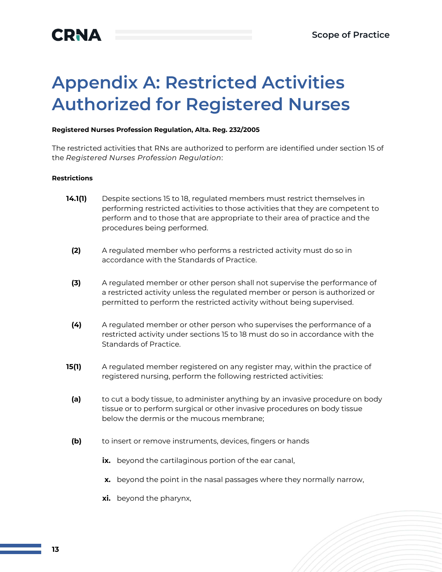# **Appendix A: Restricted Activities Authorized for Registered Nurses**

#### **Registered Nurses Profession Regulation, Alta. Reg. 232/2005**

The restricted activities that RNs are authorized to perform are identified under section 15 of the *Registered Nurses Profession Regulation*:

#### **Restrictions**

- **14.1(1)** Despite sections 15 to 18, regulated members must restrict themselves in performing restricted activities to those activities that they are competent to perform and to those that are appropriate to their area of practice and the procedures being performed.
	- **(2)** A regulated member who performs a restricted activity must do so in accordance with the Standards of Practice.
	- **(3)** A regulated member or other person shall not supervise the performance of a restricted activity unless the regulated member or person is authorized or permitted to perform the restricted activity without being supervised.
	- **(4)** A regulated member or other person who supervises the performance of a restricted activity under sections 15 to 18 must do so in accordance with the Standards of Practice.
- **15(1)** A regulated member registered on any register may, within the practice of registered nursing, perform the following restricted activities:
- **(a)** to cut a body tissue, to administer anything by an invasive procedure on body tissue or to perform surgical or other invasive procedures on body tissue below the dermis or the mucous membrane;
- **(b)** to insert or remove instruments, devices, fingers or hands
	- ix. beyond the cartilaginous portion of the ear canal,
	- **x.** beyond the point in the nasal passages where they normally narrow,
	- **xi.** beyond the pharynx,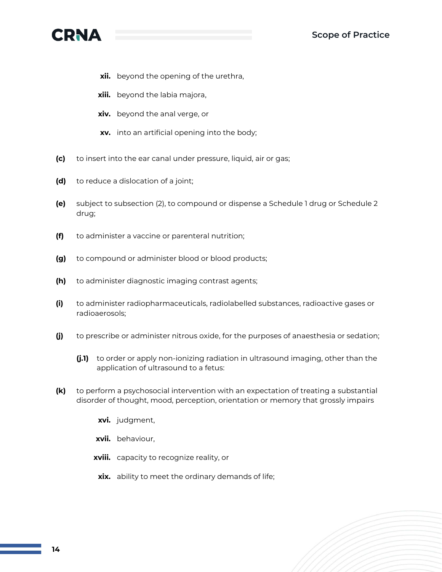

- **xii.** beyond the opening of the urethra,
- **xiii.** beyond the labia majora,
- **xiv.** beyond the anal verge, or
- **xv.** into an artificial opening into the body;
- **(c)** to insert into the ear canal under pressure, liquid, air or gas;
- **(d)** to reduce a dislocation of a joint;
- **(e)** subject to subsection (2), to compound or dispense a Schedule 1 drug or Schedule 2 drug;
- **(f)** to administer a vaccine or parenteral nutrition;
- **(g)** to compound or administer blood or blood products;
- **(h)** to administer diagnostic imaging contrast agents;
- **(i)** to administer radiopharmaceuticals, radiolabelled substances, radioactive gases or radioaerosols;
- **(j)** to prescribe or administer nitrous oxide, for the purposes of anaesthesia or sedation;
	- **(j.1)** to order or apply non-ionizing radiation in ultrasound imaging, other than the application of ultrasound to a fetus:
- **(k)** to perform a psychosocial intervention with an expectation of treating a substantial disorder of thought, mood, perception, orientation or memory that grossly impairs
	- **xvi.** judgment,
	- **xvii.** behaviour,
	- **xviii.** capacity to recognize reality, or
	- **xix.** ability to meet the ordinary demands of life;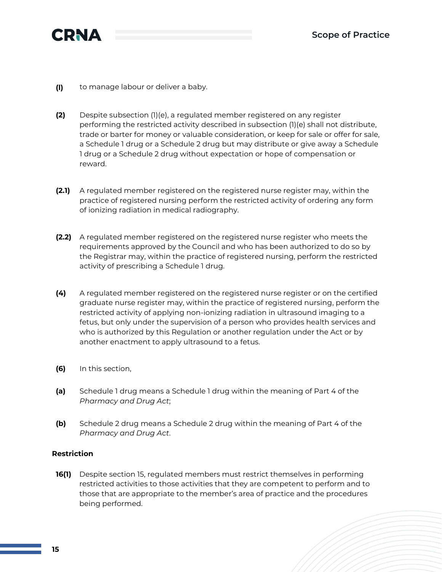

- **(l)** to manage labour or deliver a baby.
- **(2)** Despite subsection (1)(e), a regulated member registered on any register performing the restricted activity described in subsection (1)(e) shall not distribute, trade or barter for money or valuable consideration, or keep for sale or offer for sale, a Schedule 1 drug or a Schedule 2 drug but may distribute or give away a Schedule 1 drug or a Schedule 2 drug without expectation or hope of compensation or reward.
- **(2.1)** A regulated member registered on the registered nurse register may, within the practice of registered nursing perform the restricted activity of ordering any form of ionizing radiation in medical radiography.
- **(2.2)** A regulated member registered on the registered nurse register who meets the requirements approved by the Council and who has been authorized to do so by the Registrar may, within the practice of registered nursing, perform the restricted activity of prescribing a Schedule 1 drug.
- **(4)** A regulated member registered on the registered nurse register or on the certified graduate nurse register may, within the practice of registered nursing, perform the restricted activity of applying non-ionizing radiation in ultrasound imaging to a fetus, but only under the supervision of a person who provides health services and who is authorized by this Regulation or another regulation under the Act or by another enactment to apply ultrasound to a fetus.
- **(6)** In this section,
- **(a)** Schedule 1 drug means a Schedule 1 drug within the meaning of Part 4 of the *Pharmacy and Drug Act*;
- **(b)** Schedule 2 drug means a Schedule 2 drug within the meaning of Part 4 of the *Pharmacy and Drug Act*.

#### **Restriction**

**16(1)** Despite section 15, regulated members must restrict themselves in performing restricted activities to those activities that they are competent to perform and to those that are appropriate to the member's area of practice and the procedures being performed.